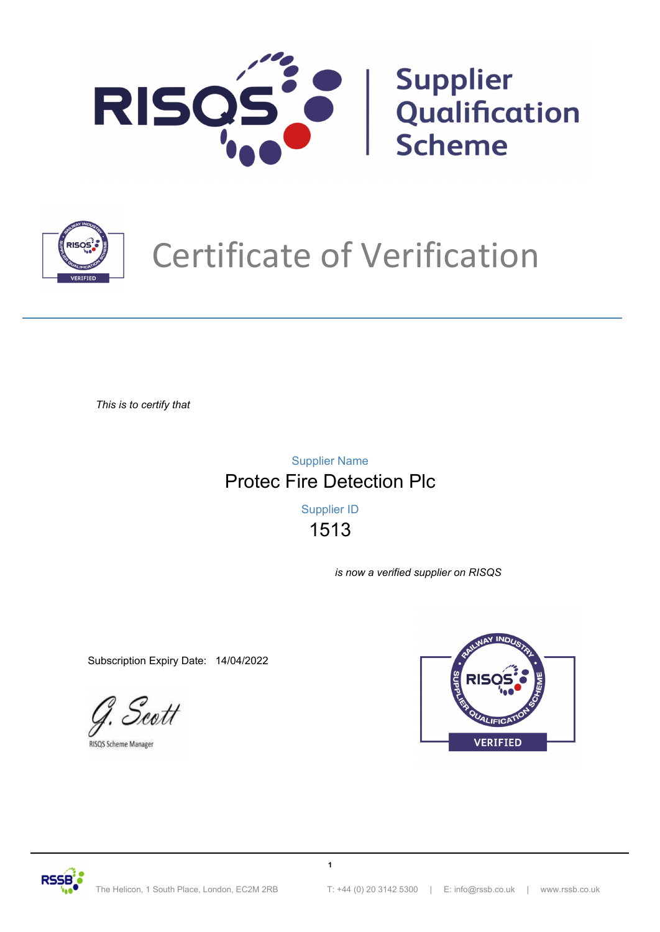



# Certificate of Verification

*This is to certify that*

Protec Fire Detection Plc Supplier Name

> 1513 Supplier ID

> > **1**

*is now a verified supplier on RISQS*

Subscription Expiry Date: 14/04/2022

Scott

RISQS Scheme Manager



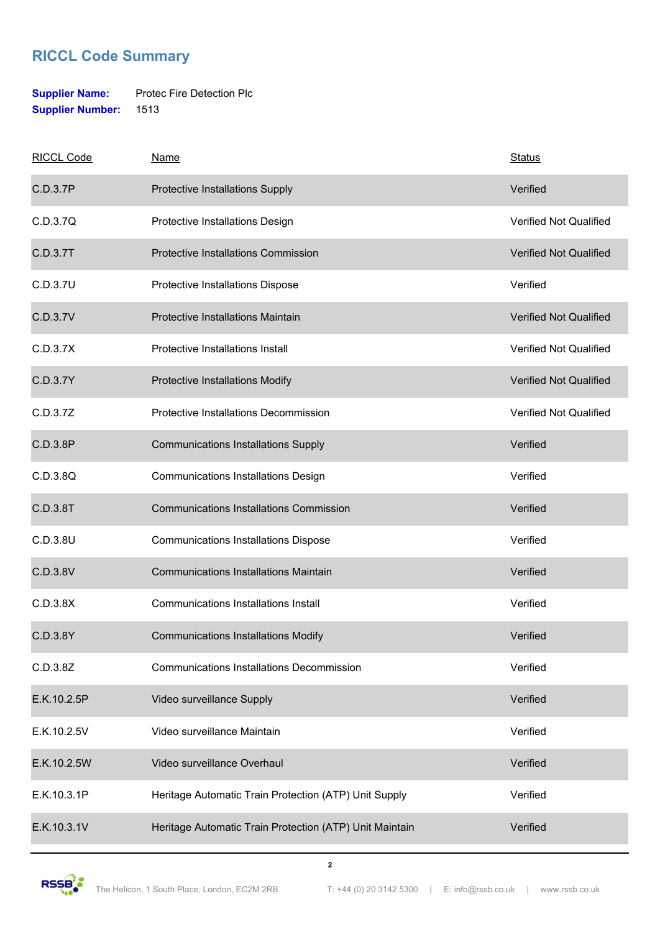### **RICCL Code Summary**

#### **Supplier Name:** Protec Fire Detection Plc **Supplier Number:** 1513

| <b>RICCL Code</b> | <b>Name</b>                                             | <b>Status</b>                 |
|-------------------|---------------------------------------------------------|-------------------------------|
| C.D.3.7P          | Protective Installations Supply                         | Verified                      |
| C.D.3.7Q          | Protective Installations Design                         | <b>Verified Not Qualified</b> |
| C.D.3.7T          | Protective Installations Commission                     | <b>Verified Not Qualified</b> |
| C.D.3.7U          | Protective Installations Dispose                        | Verified                      |
| C.D.3.7V          | Protective Installations Maintain                       | <b>Verified Not Qualified</b> |
| C.D.3.7X          | Protective Installations Install                        | <b>Verified Not Qualified</b> |
| C.D.3.7Y          | Protective Installations Modify                         | <b>Verified Not Qualified</b> |
| C.D.3.7Z          | Protective Installations Decommission                   | Verified Not Qualified        |
| C.D.3.8P          | <b>Communications Installations Supply</b>              | Verified                      |
| C.D.3.8Q          | <b>Communications Installations Design</b>              | Verified                      |
| C.D.3.8T          | <b>Communications Installations Commission</b>          | Verified                      |
| C.D.3.8U          | <b>Communications Installations Dispose</b>             | Verified                      |
| C.D.3.8V          | <b>Communications Installations Maintain</b>            | Verified                      |
| C.D.3.8X          | <b>Communications Installations Install</b>             | Verified                      |
| C.D.3.8Y          | <b>Communications Installations Modify</b>              | Verified                      |
| C.D.3.8Z          | <b>Communications Installations Decommission</b>        | Verified                      |
| E.K.10.2.5P       | Video surveillance Supply                               | Verified                      |
| E.K.10.2.5V       | Video surveillance Maintain                             | Verified                      |
| E.K.10.2.5W       | Video surveillance Overhaul                             | Verified                      |
| E.K.10.3.1P       | Heritage Automatic Train Protection (ATP) Unit Supply   | Verified                      |
| E.K.10.3.1V       | Heritage Automatic Train Protection (ATP) Unit Maintain | Verified                      |

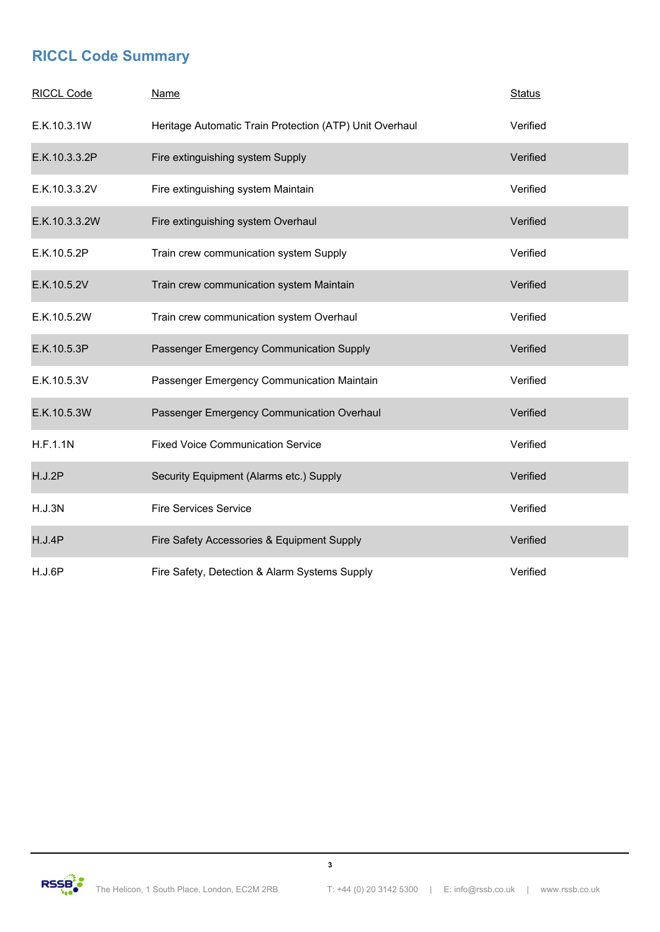### **RICCL Code Summary**

| <b>RICCL Code</b> | <b>Name</b>                                             | <b>Status</b> |
|-------------------|---------------------------------------------------------|---------------|
| E.K.10.3.1W       | Heritage Automatic Train Protection (ATP) Unit Overhaul | Verified      |
| E.K.10.3.3.2P     | Fire extinguishing system Supply                        | Verified      |
| E.K.10.3.3.2V     | Fire extinguishing system Maintain                      | Verified      |
| E.K.10.3.3.2W     | Fire extinguishing system Overhaul                      | Verified      |
| E.K.10.5.2P       | Train crew communication system Supply                  | Verified      |
| E.K.10.5.2V       | Train crew communication system Maintain                | Verified      |
| E.K.10.5.2W       | Train crew communication system Overhaul                | Verified      |
| E.K.10.5.3P       | Passenger Emergency Communication Supply                | Verified      |
| E.K.10.5.3V       | Passenger Emergency Communication Maintain              | Verified      |
| E.K.10.5.3W       | Passenger Emergency Communication Overhaul              | Verified      |
| H.F.1.1N          | <b>Fixed Voice Communication Service</b>                | Verified      |
| H.J.2P            | Security Equipment (Alarms etc.) Supply                 | Verified      |
| H.J.3N            | <b>Fire Services Service</b>                            | Verified      |
| H.J.4P            | Fire Safety Accessories & Equipment Supply              | Verified      |
| H.J.6P            | Fire Safety, Detection & Alarm Systems Supply           | Verified      |



**3**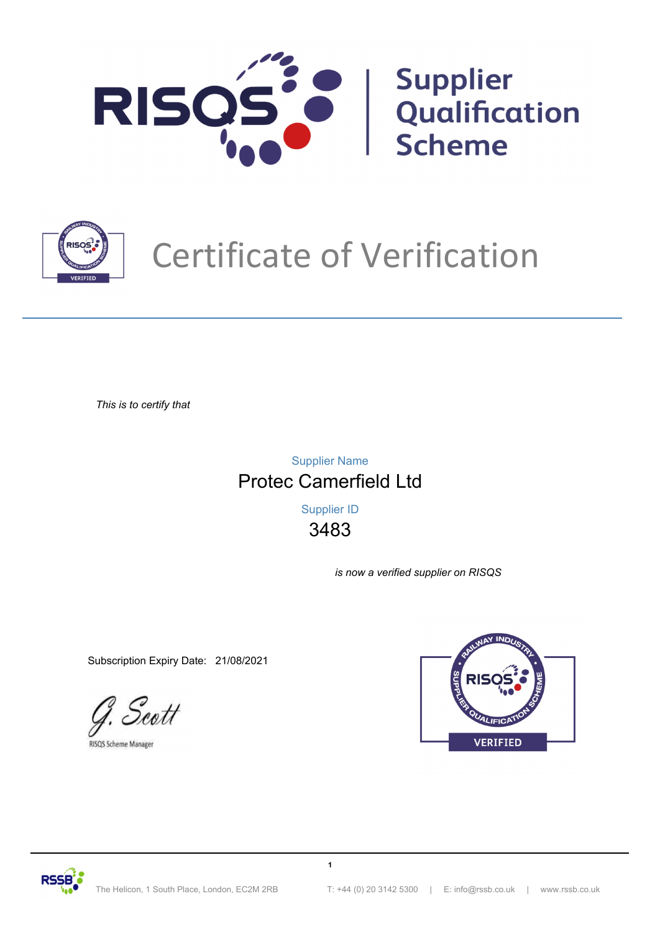



# Certificate of Verification

*This is to certify that*

Protec Camerfield Ltd Supplier Name

> 3483 Supplier ID

> > **1**

*is now a verified supplier on RISQS*

Subscription Expiry Date: 21/08/2021

Scott

RISQS Scheme Manager